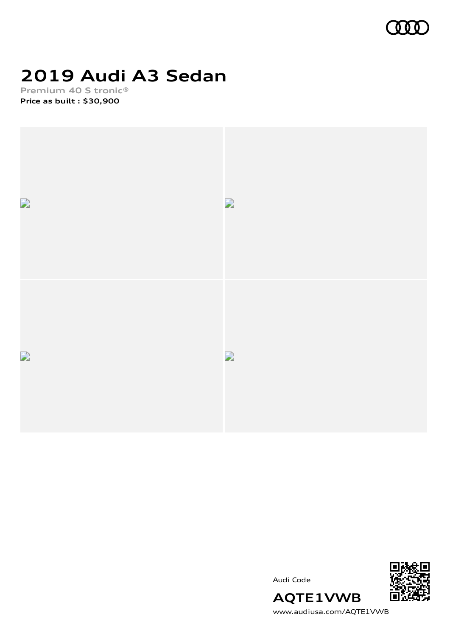

# **2019 Audi A3 Sedan**

**Premium 40 S tronic® Price as built [:](#page-10-0) \$30,900**



Audi Code



[www.audiusa.com/AQTE1VWB](https://www.audiusa.com/AQTE1VWB)

**AQTE1VWB**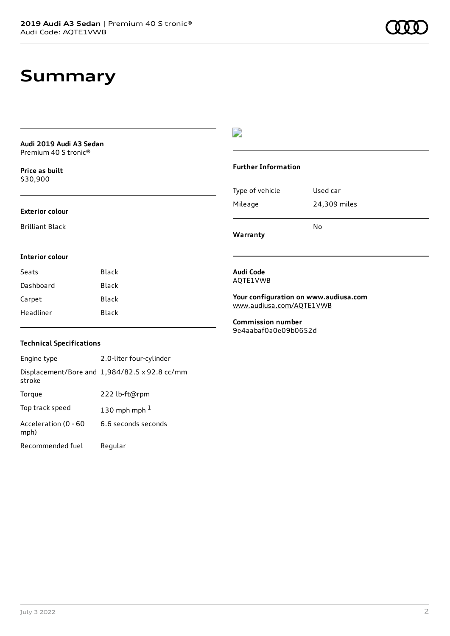## **Summary**

| Audi 2019 Audi A3 Sedan |  |
|-------------------------|--|
| Premium 40 S tronic®    |  |

**Price as buil[t](#page-10-0)** \$30,900

#### **Exterior colour**

Brilliant Black

**Interior colour**

### $\overline{\phantom{a}}$

#### **Further Information**

|                 | N٥           |
|-----------------|--------------|
| Mileage         | 24,309 miles |
| Type of vehicle | Used car     |

**Warranty**

### **Audi Code**

AQTE1VWB

**Your configuration on www.audiusa.com** [www.audiusa.com/AQTE1VWB](https://www.audiusa.com/AQTE1VWB)

**Commission number** 9e4aabaf0a0e09b0652d

### **Technical Specifications**

Seats Black Dashboard Black Carpet Black Headliner Black

| Engine type                  | 2.0-liter four-cylinder                       |
|------------------------------|-----------------------------------------------|
| stroke                       | Displacement/Bore and 1,984/82.5 x 92.8 cc/mm |
| Torque                       | 222 lb-ft@rpm                                 |
| Top track speed              | 130 mph mph $1$                               |
| Acceleration (0 - 60<br>mph) | 6.6 seconds seconds                           |
| Recommended fuel             | Regular                                       |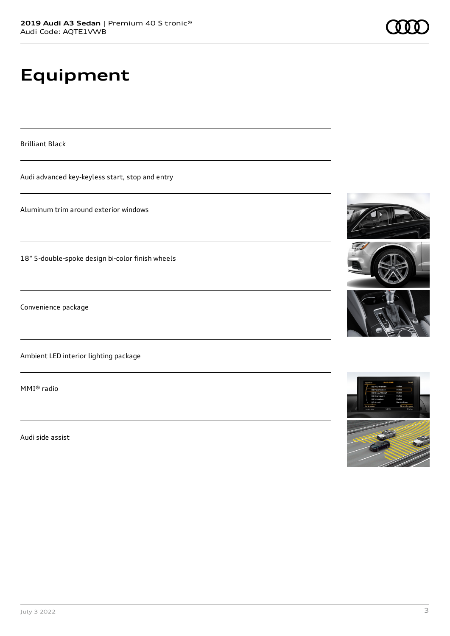# **Equipment**

Brilliant Black

Audi advanced key-keyless start, stop and entry

Aluminum trim around exterior windows

18" 5-double-spoke design bi-color finish wheels

Convenience package

Ambient LED interior lighting package

MMI® radio

Audi side assist







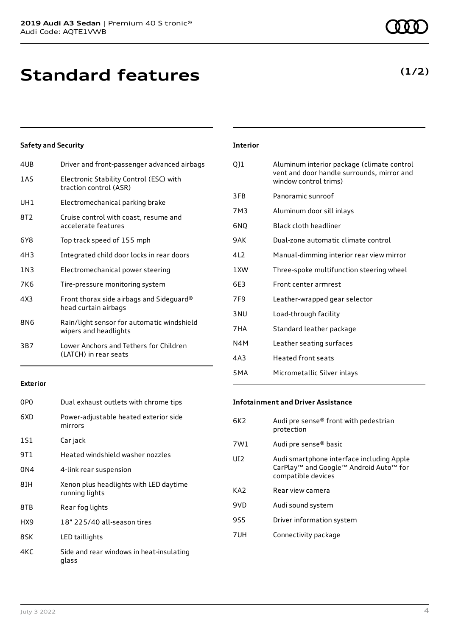| 4UB   | Driver and front-passenger advanced airbags                         |
|-------|---------------------------------------------------------------------|
| 1AS   | Electronic Stability Control (ESC) with<br>traction control (ASR)   |
| UH1   | Electromechanical parking brake                                     |
| 8T2   | Cruise control with coast, resume and<br>accelerate features        |
| 6Y8   | Top track speed of 155 mph                                          |
| 4H3   | Integrated child door locks in rear doors                           |
| 1 N 3 | Electromechanical power steering                                    |
| 7K6   | Tire-pressure monitoring system                                     |
| 4X3   | Front thorax side airbags and Sideguard®<br>head curtain airbags    |
| 8N6   | Rain/light sensor for automatic windshield<br>wipers and headlights |
| 3B7   | Lower Anchors and Tethers for Children<br>(LATCH) in rear seats     |
|       |                                                                     |

#### **Exterior**

| 0P <sub>0</sub> | Dual exhaust outlets with chrome tips                    |
|-----------------|----------------------------------------------------------|
| 6XD             | Power-adjustable heated exterior side<br>mirrors         |
| 1S1             | Car jack                                                 |
| 9T 1            | Heated windshield washer nozzles                         |
| 0 <sub>N4</sub> | 4-link rear suspension                                   |
| 8IH             | Xenon plus headlights with LED daytime<br>running lights |
| 8TB             | Rear fog lights                                          |
| HX9             | 18" 225/40 all-season tires                              |
| 8SK             | LED taillights                                           |
| 4KC             | Side and rear windows in heat-insulating<br>glass        |

#### **Interior**

| QJ1              | Aluminum interior package (climate control<br>vent and door handle surrounds, mirror and<br>window control trims) |
|------------------|-------------------------------------------------------------------------------------------------------------------|
| 3FB              | Panoramic sunroof                                                                                                 |
| 7M3              | Aluminum door sill inlays                                                                                         |
| 6NO              | Black cloth headliner                                                                                             |
| 9 A K            | Dual-zone automatic climate control                                                                               |
| 412              | Manual-dimming interior rear view mirror                                                                          |
| 1 XW             | Three-spoke multifunction steering wheel                                                                          |
| 6F3              | Front center armrest                                                                                              |
| 7F9              | Leather-wrapped gear selector                                                                                     |
| 3 NU             | Load-through facility                                                                                             |
| 7HA              | Standard leather package                                                                                          |
| N4M              | Leather seating surfaces                                                                                          |
| 4A3              | Heated front seats                                                                                                |
| 5 <sub>M</sub> A | Micrometallic Silver inlays                                                                                       |

#### **Infotainment and Driver Assistance**

| 6K2             | Audi pre sense® front with pedestrian<br>protection                                                                   |
|-----------------|-----------------------------------------------------------------------------------------------------------------------|
| 7W1             | Audi pre sense® basic                                                                                                 |
| UI <sub>2</sub> | Audi smartphone interface including Apple<br>CarPlay <sup>™</sup> and Google™ Android Auto™ for<br>compatible devices |
| KA <sub>2</sub> | Rear view camera                                                                                                      |
| 9VD             | Audi sound system                                                                                                     |
| 9S5             | Driver information system                                                                                             |
| 7UH             | Connectivity package                                                                                                  |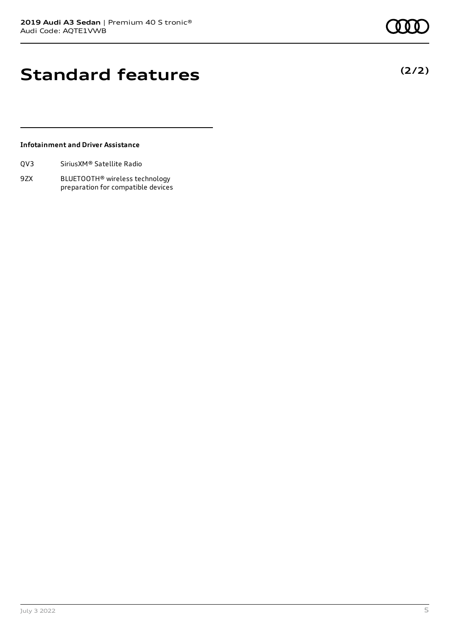# **Standard features**

#### **Infotainment and Driver Assistance**

9ZX BLUETOOTH® wireless technology preparation for compatible devices

**(2/2)**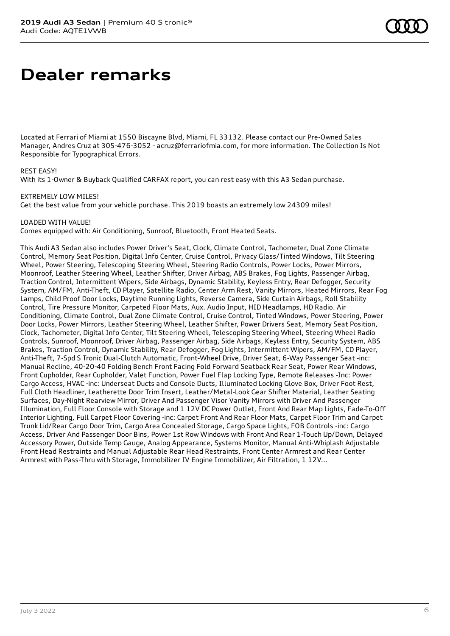# **Dealer remarks**

Located at Ferrari of Miami at 1550 Biscayne Blvd, Miami, FL 33132. Please contact our Pre-Owned Sales Manager, Andres Cruz at 305-476-3052 - acruz@ferrariofmia.com, for more information. The Collection Is Not Responsible for Typographical Errors.

### REST EASY!

With its 1-Owner & Buyback Qualified CARFAX report, you can rest easy with this A3 Sedan purchase.

EXTREMELY LOW MILES! Get the best value from your vehicle purchase. This 2019 boasts an extremely low 24309 miles!

LOADED WITH VALUE!

Comes equipped with: Air Conditioning, Sunroof, Bluetooth, Front Heated Seats.

This Audi A3 Sedan also includes Power Driver's Seat, Clock, Climate Control, Tachometer, Dual Zone Climate Control, Memory Seat Position, Digital Info Center, Cruise Control, Privacy Glass/Tinted Windows, Tilt Steering Wheel, Power Steering, Telescoping Steering Wheel, Steering Radio Controls, Power Locks, Power Mirrors, Moonroof, Leather Steering Wheel, Leather Shifter, Driver Airbag, ABS Brakes, Fog Lights, Passenger Airbag, Traction Control, Intermittent Wipers, Side Airbags, Dynamic Stability, Keyless Entry, Rear Defogger, Security System, AM/FM, Anti-Theft, CD Player, Satellite Radio, Center Arm Rest, Vanity Mirrors, Heated Mirrors, Rear Fog Lamps, Child Proof Door Locks, Daytime Running Lights, Reverse Camera, Side Curtain Airbags, Roll Stability Control, Tire Pressure Monitor, Carpeted Floor Mats, Aux. Audio Input, HID Headlamps, HD Radio. Air Conditioning, Climate Control, Dual Zone Climate Control, Cruise Control, Tinted Windows, Power Steering, Power Door Locks, Power Mirrors, Leather Steering Wheel, Leather Shifter, Power Drivers Seat, Memory Seat Position, Clock, Tachometer, Digital Info Center, Tilt Steering Wheel, Telescoping Steering Wheel, Steering Wheel Radio Controls, Sunroof, Moonroof, Driver Airbag, Passenger Airbag, Side Airbags, Keyless Entry, Security System, ABS Brakes, Traction Control, Dynamic Stability, Rear Defogger, Fog Lights, Intermittent Wipers, AM/FM, CD Player, Anti-Theft, 7-Spd S Tronic Dual-Clutch Automatic, Front-Wheel Drive, Driver Seat, 6-Way Passenger Seat -inc: Manual Recline, 40-20-40 Folding Bench Front Facing Fold Forward Seatback Rear Seat, Power Rear Windows, Front Cupholder, Rear Cupholder, Valet Function, Power Fuel Flap Locking Type, Remote Releases -Inc: Power Cargo Access, HVAC -inc: Underseat Ducts and Console Ducts, Illuminated Locking Glove Box, Driver Foot Rest, Full Cloth Headliner, Leatherette Door Trim Insert, Leather/Metal-Look Gear Shifter Material, Leather Seating Surfaces, Day-Night Rearview Mirror, Driver And Passenger Visor Vanity Mirrors with Driver And Passenger Illumination, Full Floor Console with Storage and 1 12V DC Power Outlet, Front And Rear Map Lights, Fade-To-Off Interior Lighting, Full Carpet Floor Covering -inc: Carpet Front And Rear Floor Mats, Carpet Floor Trim and Carpet Trunk Lid/Rear Cargo Door Trim, Cargo Area Concealed Storage, Cargo Space Lights, FOB Controls -inc: Cargo Access, Driver And Passenger Door Bins, Power 1st Row Windows with Front And Rear 1-Touch Up/Down, Delayed Accessory Power, Outside Temp Gauge, Analog Appearance, Systems Monitor, Manual Anti-Whiplash Adjustable Front Head Restraints and Manual Adjustable Rear Head Restraints, Front Center Armrest and Rear Center Armrest with Pass-Thru with Storage, Immobilizer IV Engine Immobilizer, Air Filtration, 1 12V...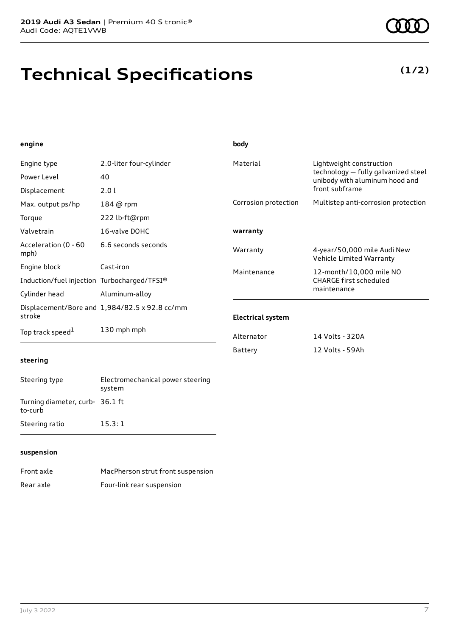# **Technical Specifications**

**(1/2)**

### **engine**

| engine                                      |                                               | body                     |                                                                       |
|---------------------------------------------|-----------------------------------------------|--------------------------|-----------------------------------------------------------------------|
| Engine type                                 | 2.0-liter four-cylinder                       | Material                 | Lightweight construction                                              |
| Power Level                                 | 40                                            |                          | technology - fully galvanized steel<br>unibody with aluminum hood and |
| Displacement                                | 2.0 l                                         |                          | front subframe                                                        |
| Max. output ps/hp                           | 184 @ rpm                                     | Corrosion protection     | Multistep anti-corrosion protection                                   |
| Torque                                      | 222 lb-ft@rpm                                 |                          |                                                                       |
| Valvetrain                                  | 16-valve DOHC                                 | warranty                 |                                                                       |
| Acceleration (0 - 60<br>mph)                | 6.6 seconds seconds                           | Warranty                 | 4-year/50,000 mile Audi New<br>Vehicle Limited Warranty               |
| Engine block                                | Cast-iron                                     | Maintenance              | 12-month/10,000 mile NO                                               |
| Induction/fuel injection Turbocharged/TFSI® |                                               |                          | <b>CHARGE first scheduled</b>                                         |
| Cylinder head                               | Aluminum-alloy                                |                          | maintenance                                                           |
| stroke                                      | Displacement/Bore and 1,984/82.5 x 92.8 cc/mm | <b>Electrical system</b> |                                                                       |
| Top track speed <sup>1</sup>                | 130 mph mph                                   | Alternator               | 14 Volts - 320A                                                       |
| -------                                     |                                               | Battery                  | 12 Volts - 59Ah                                                       |

#### **steering**

| Steering type                              | Electromechanical power steering<br>system |
|--------------------------------------------|--------------------------------------------|
| Turning diameter, curb- 36.1 ft<br>to-curb |                                            |
| Steering ratio                             | 15.3:1                                     |

#### **suspension**

| Front axle | MacPherson strut front suspension |
|------------|-----------------------------------|
| Rear axle  | Four-link rear suspension         |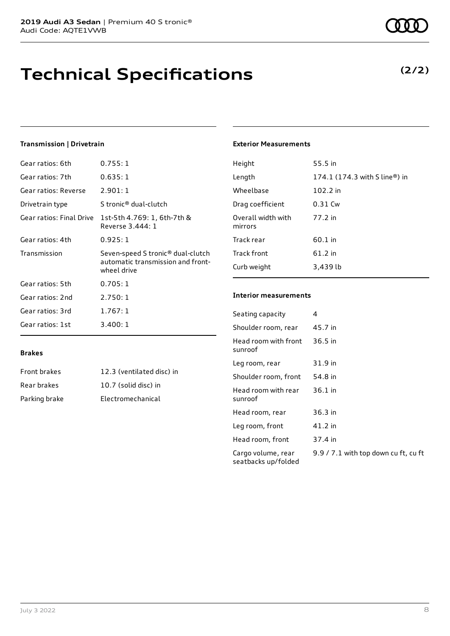# **Technical Specifications**

### **(2/2)**

### **Transmission | Drivetrain**

| Gear ratios: 6th         | 0.755:1                                                                                           |
|--------------------------|---------------------------------------------------------------------------------------------------|
| Gear ratios: 7th         | 0.635:1                                                                                           |
| Gear ratios: Reverse     | 2.901:1                                                                                           |
| Drivetrain type          | S tronic <sup>®</sup> dual-clutch                                                                 |
| Gear ratios: Final Drive | 1st-5th 4.769: 1, 6th-7th &<br>Reverse 3.444: 1                                                   |
| Gear ratios: 4th         | 0.925:1                                                                                           |
|                          |                                                                                                   |
| Transmission             | Seven-speed S tronic <sup>®</sup> dual-clutch<br>automatic transmission and front-<br>wheel drive |
| Gear ratios: 5th         | 0.705:1                                                                                           |
| Gear ratios: 2nd         | 2.750:1                                                                                           |
| Gear ratios: 3rd         | 1.767:1                                                                                           |

#### **Exterior Measurements**

| Height                        | 55.5 in                       |
|-------------------------------|-------------------------------|
| Length                        | 174.1 (174.3 with S line®) in |
| Wheelbase                     | 102.2 in                      |
| Drag coefficient              | 0.31 Cw                       |
| Overall width with<br>mirrors | 77.2 in                       |
| Track rear                    | $60.1$ in                     |
| Track front                   | 61.2 in                       |
| Curb weight                   | 3,439 lb                      |

### **Interior measurements**

| Seating capacity                          | 4                                    |
|-------------------------------------------|--------------------------------------|
| Shoulder room, rear                       | 45.7 in                              |
| Head room with front<br>sunroof           | $36.5$ in                            |
| Leg room, rear                            | 31.9 in                              |
| Shoulder room, front                      | 54.8 in                              |
| Head room with rear<br>sunroof            | $36.1$ in                            |
| Head room, rear                           | 36.3 in                              |
| Leg room, front                           | 41.2 in                              |
| Head room, front                          | 37.4 in                              |
| Cargo volume, rear<br>seatbacks up/folded | 9.9 / 7.1 with top down cu ft, cu ft |

**Brakes**

Front brakes 12.3 (ventilated disc) in Rear brakes 10.7 (solid disc) in

Parking brake **Electromechanical**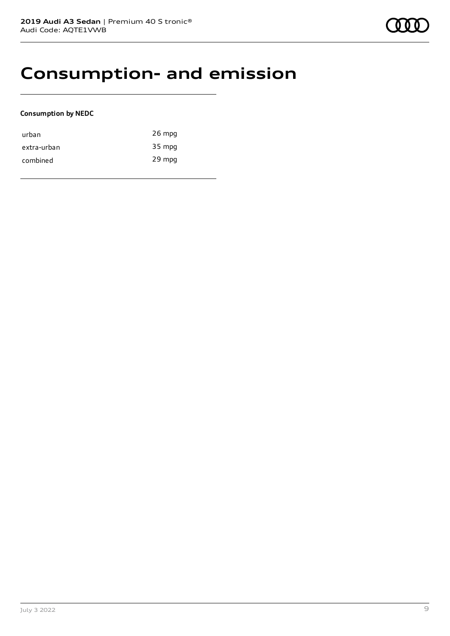## **Consumption- and emission**

### **Consumption by NEDC**

| urban       | 26 mpg |
|-------------|--------|
| extra-urban | 35 mpg |
| combined    | 29 mpg |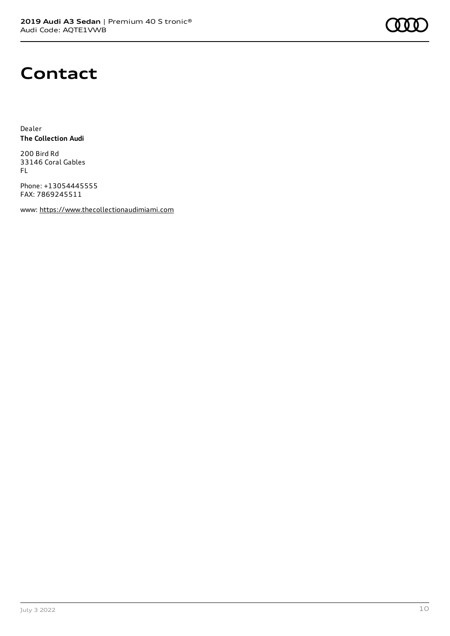

## **Contact**

Dealer **The Collection Audi**

200 Bird Rd 33146 Coral Gables FL

Phone: +13054445555 FAX: 7869245511

www: [https://www.thecollectionaudimiami.com](https://www.thecollectionaudimiami.com/)